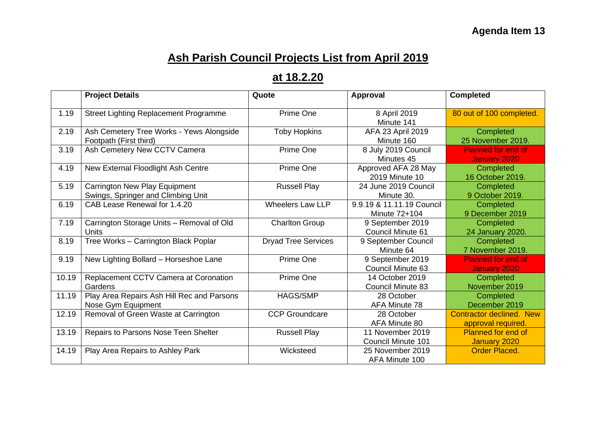## **Ash Parish Council Projects List from April 2019**

## **at 18.2.20**

|       | <b>Project Details</b>                                                     | Quote                      | Approval                                      | <b>Completed</b>                                      |
|-------|----------------------------------------------------------------------------|----------------------------|-----------------------------------------------|-------------------------------------------------------|
| 1.19  | <b>Street Lighting Replacement Programme</b>                               | Prime One                  | 8 April 2019<br>Minute 141                    | 80 out of 100 completed.                              |
| 2.19  | Ash Cemetery Tree Works - Yews Alongside<br>Footpath (First third)         | <b>Toby Hopkins</b>        | AFA 23 April 2019<br>Minute 160               | Completed<br>25 November 2019.                        |
| 3.19  | Ash Cemetery New CCTV Camera                                               | Prime One                  | 8 July 2019 Council<br>Minutes 45             | <b>Planned for end of</b><br><b>January 2020</b>      |
| 4.19  | New External Floodlight Ash Centre                                         | Prime One                  | Approved AFA 28 May<br>2019 Minute 10         | Completed<br>16 October 2019.                         |
| 5.19  | <b>Carrington New Play Equipment</b><br>Swings, Springer and Climbing Unit | <b>Russell Play</b>        | 24 June 2019 Council<br>Minute 30.            | Completed<br>9 October 2019.                          |
| 6.19  | CAB Lease Renewal for 1.4.20                                               | <b>Wheelers Law LLP</b>    | 9.9.19 & 11.11.19 Council<br>Minute 72+104    | Completed<br>9 December 2019                          |
| 7.19  | Carrington Storage Units - Removal of Old<br><b>Units</b>                  | <b>Charlton Group</b>      | 9 September 2019<br><b>Council Minute 61</b>  | Completed<br>24 January 2020.                         |
| 8.19  | Tree Works - Carrington Black Poplar                                       | <b>Dryad Tree Services</b> | 9 September Council<br>Minute 64              | Completed<br>7 November 2019.                         |
| 9.19  | New Lighting Bollard - Horseshoe Lane                                      | Prime One                  | 9 September 2019<br><b>Council Minute 63</b>  | <b>Planned for end of</b><br><b>January 2020</b>      |
| 10.19 | Replacement CCTV Camera at Coronation<br>Gardens                           | Prime One                  | 14 October 2019<br><b>Council Minute 83</b>   | Completed<br>November 2019                            |
| 11.19 | Play Area Repairs Ash Hill Rec and Parsons<br>Nose Gym Equipment           | <b>HAGS/SMP</b>            | 28 October<br>AFA Minute 78                   | Completed<br>December 2019                            |
| 12.19 | Removal of Green Waste at Carrington                                       | <b>CCP Groundcare</b>      | 28 October<br>AFA Minute 80                   | <b>Contractor declined. New</b><br>approval required. |
| 13.19 | Repairs to Parsons Nose Teen Shelter                                       | <b>Russell Play</b>        | 11 November 2019<br><b>Council Minute 101</b> | <b>Planned for end of</b><br>January 2020             |
| 14.19 | Play Area Repairs to Ashley Park                                           | Wicksteed                  | 25 November 2019<br>AFA Minute 100            | <b>Order Placed.</b>                                  |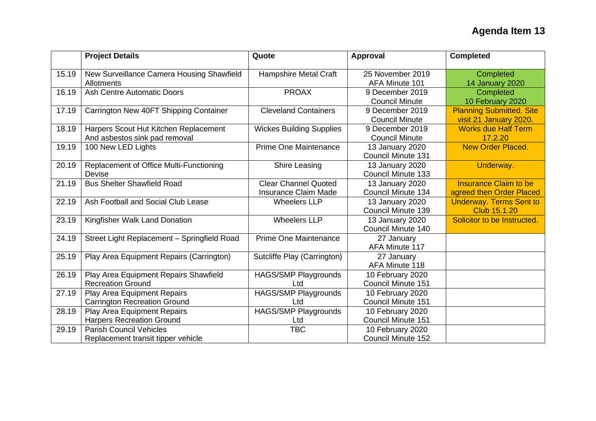|       | <b>Project Details</b>                                                 | Quote                                                      | Approval                                      | <b>Completed</b>                                          |
|-------|------------------------------------------------------------------------|------------------------------------------------------------|-----------------------------------------------|-----------------------------------------------------------|
| 15.19 | New Surveillance Camera Housing Shawfield<br>Allotments                | <b>Hampshire Metal Craft</b>                               | 25 November 2019<br>AFA Minute 101            | Completed<br>14 January 2020                              |
| 16.19 | <b>Ash Centre Automatic Doors</b>                                      | <b>PROAX</b>                                               | 9 December 2019<br><b>Council Minute</b>      | Completed<br>10 February 2020                             |
| 17.19 | Carrington New 40FT Shipping Container                                 | <b>Cleveland Containers</b>                                | 9 December 2019<br><b>Council Minute</b>      | <b>Planning Submitted. Site</b><br>visit 21 January 2020. |
| 18.19 | Harpers Scout Hut Kitchen Replacement<br>And asbestos sink pad removal | <b>Wickes Building Supplies</b>                            | 9 December 2019<br><b>Council Minute</b>      | <b>Works due Half Term</b><br>17.2.20                     |
| 19.19 | 100 New LED Lights                                                     | <b>Prime One Maintenance</b>                               | 13 January 2020<br><b>Council Minute 131</b>  | <b>New Order Placed.</b>                                  |
| 20.19 | Replacement of Office Multi-Functioning<br>Devise                      | <b>Shire Leasing</b>                                       | 13 January 2020<br><b>Council Minute 133</b>  | Underway.                                                 |
| 21.19 | <b>Bus Shelter Shawfield Road</b>                                      | <b>Clear Channel Quoted</b><br><b>Insurance Claim Made</b> | 13 January 2020<br><b>Council Minute 134</b>  | <b>Insurance Claim to be</b><br>agreed then Order Placed  |
| 22.19 | Ash Football and Social Club Lease                                     | <b>Wheelers LLP</b>                                        | 13 January 2020<br><b>Council Minute 139</b>  | <b>Underway. Terms Sent to</b><br>Club 15.1.20            |
| 23.19 | Kingfisher Walk Land Donation                                          | <b>Wheelers LLP</b>                                        | 13 January 2020<br>Council Minute 140         | Solicitor to be Instructed.                               |
| 24.19 | Street Light Replacement - Springfield Road                            | <b>Prime One Maintenance</b>                               | 27 January<br>AFA Minute 117                  |                                                           |
| 25.19 | Play Area Equipment Repairs (Carrington)                               | Sutcliffe Play (Carrington)                                | 27 January<br>AFA Minute 118                  |                                                           |
| 26.19 | Play Area Equipment Repairs Shawfield<br><b>Recreation Ground</b>      | <b>HAGS/SMP Playgrounds</b><br>Ltd                         | 10 February 2020<br><b>Council Minute 151</b> |                                                           |
| 27.19 | Play Area Equipment Repairs<br><b>Carrington Recreation Ground</b>     | HAGS/SMP Playgrounds<br>Ltd                                | 10 February 2020<br><b>Council Minute 151</b> |                                                           |
| 28.19 | Play Area Equipment Repairs<br><b>Harpers Recreation Ground</b>        | HAGS/SMP Playgrounds<br>Ltd                                | 10 February 2020<br><b>Council Minute 151</b> |                                                           |
| 29.19 | <b>Parish Council Vehicles</b><br>Replacement transit tipper vehicle   | <b>TBC</b>                                                 | 10 February 2020<br><b>Council Minute 152</b> |                                                           |